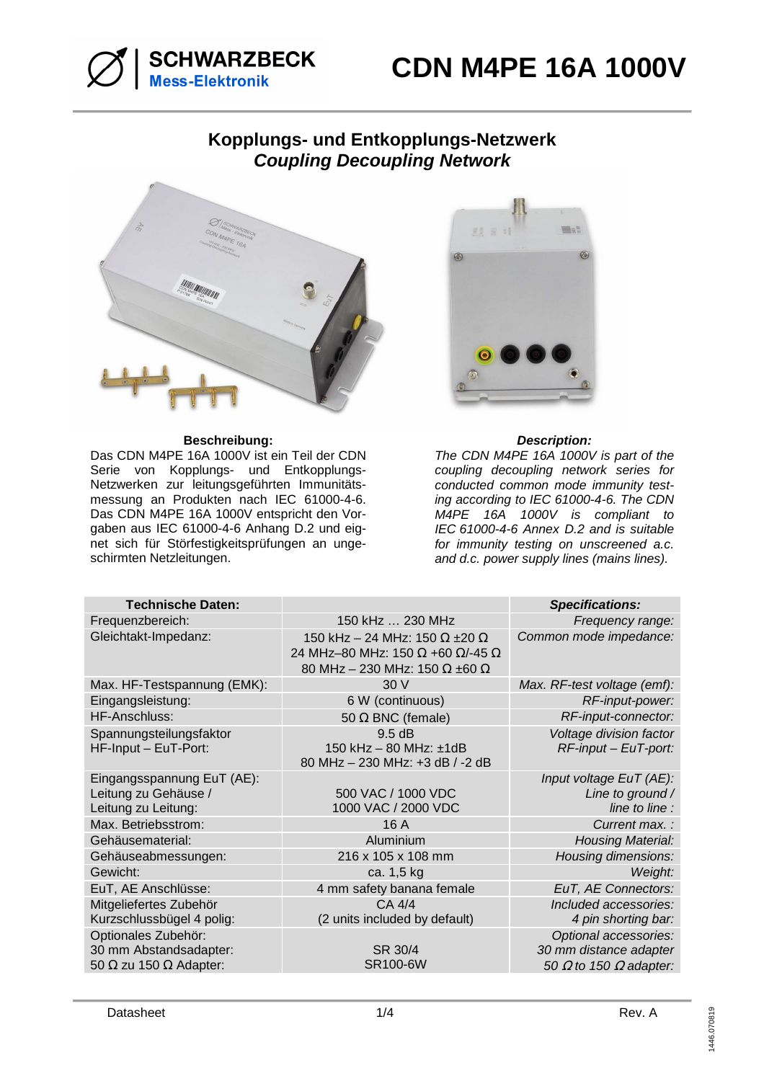

## **Kopplungs- und Entkopplungs-Netzwerk Coupling Decoupling Network**



### **Beschreibung: Description:**

Das CDN M4PE 16A 1000V ist ein Teil der CDN Serie von Kopplungs- und Entkopplungs-Netzwerken zur leitungsgeführten Immunitätsmessung an Produkten nach IEC 61000-4-6. Das CDN M4PE 16A 1000V entspricht den Vorgaben aus IEC 61000-4-6 Anhang D.2 und eignet sich für Störfestigkeitsprüfungen an ungeschirmten Netzleitungen.



The CDN M4PE 16A 1000V is part of the coupling decoupling network series for conducted common mode immunity testing according to IEC 61000-4-6. The CDN M4PE 16A 1000V is compliant to IEC 61000-4-6 Annex D.2 and is suitable for immunity testing on unscreened a.c. and d.c. power supply lines (mains lines).

| <b>Technische Daten:</b>                                                              |                                                                                                                                | <b>Specifications:</b>                                                                  |
|---------------------------------------------------------------------------------------|--------------------------------------------------------------------------------------------------------------------------------|-----------------------------------------------------------------------------------------|
| Frequenzbereich:                                                                      | 150 kHz  230 MHz                                                                                                               | Frequency range:                                                                        |
| Gleichtakt-Impedanz:                                                                  | 150 kHz - 24 MHz: 150 $\Omega$ ±20 $\Omega$<br>24 MHz-80 MHz: 150 Ω +60 Ω/-45 Ω<br>80 MHz - 230 MHz: 150 $\Omega$ ±60 $\Omega$ | Common mode impedance:                                                                  |
| Max. HF-Testspannung (EMK):                                                           | 30V                                                                                                                            | Max. RF-test voltage (emf):                                                             |
| Eingangsleistung:                                                                     | 6 W (continuous)                                                                                                               | RF-input-power:                                                                         |
| HF-Anschluss:                                                                         | 50 $\Omega$ BNC (female)                                                                                                       | RF-input-connector:                                                                     |
| Spannungsteilungsfaktor<br>HF-Input - EuT-Port:                                       | 9.5 dB<br>150 kHz - 80 MHz: ±1dB<br>80 MHz - 230 MHz: +3 dB / -2 dB                                                            | Voltage division factor<br>$RF$ -input – EuT-port:                                      |
| Eingangsspannung EuT (AE):<br>Leitung zu Gehäuse /<br>Leitung zu Leitung:             | 500 VAC / 1000 VDC<br>1000 VAC / 2000 VDC                                                                                      | Input voltage EuT (AE):<br>Line to ground /<br>line to line :                           |
| Max. Betriebsstrom:                                                                   | 16 A                                                                                                                           | Current max.:                                                                           |
| Gehäusematerial:                                                                      | Aluminium                                                                                                                      | <b>Housing Material:</b>                                                                |
| Gehäuseabmessungen:                                                                   | 216 x 105 x 108 mm                                                                                                             | <b>Housing dimensions:</b>                                                              |
| Gewicht:                                                                              | ca. 1,5 kg                                                                                                                     | Weight:                                                                                 |
| EuT, AE Anschlüsse:                                                                   | 4 mm safety banana female                                                                                                      | EuT, AE Connectors:                                                                     |
| Mitgeliefertes Zubehör<br>Kurzschlussbügel 4 polig:                                   | CA 4/4<br>(2 units included by default)                                                                                        | Included accessories:<br>4 pin shorting bar:                                            |
| Optionales Zubehör:<br>30 mm Abstandsadapter:<br>50 $\Omega$ zu 150 $\Omega$ Adapter: | SR 30/4<br><b>SR100-6W</b>                                                                                                     | Optional accessories:<br>30 mm distance adapter<br>50 $\Omega$ to 150 $\Omega$ adapter: |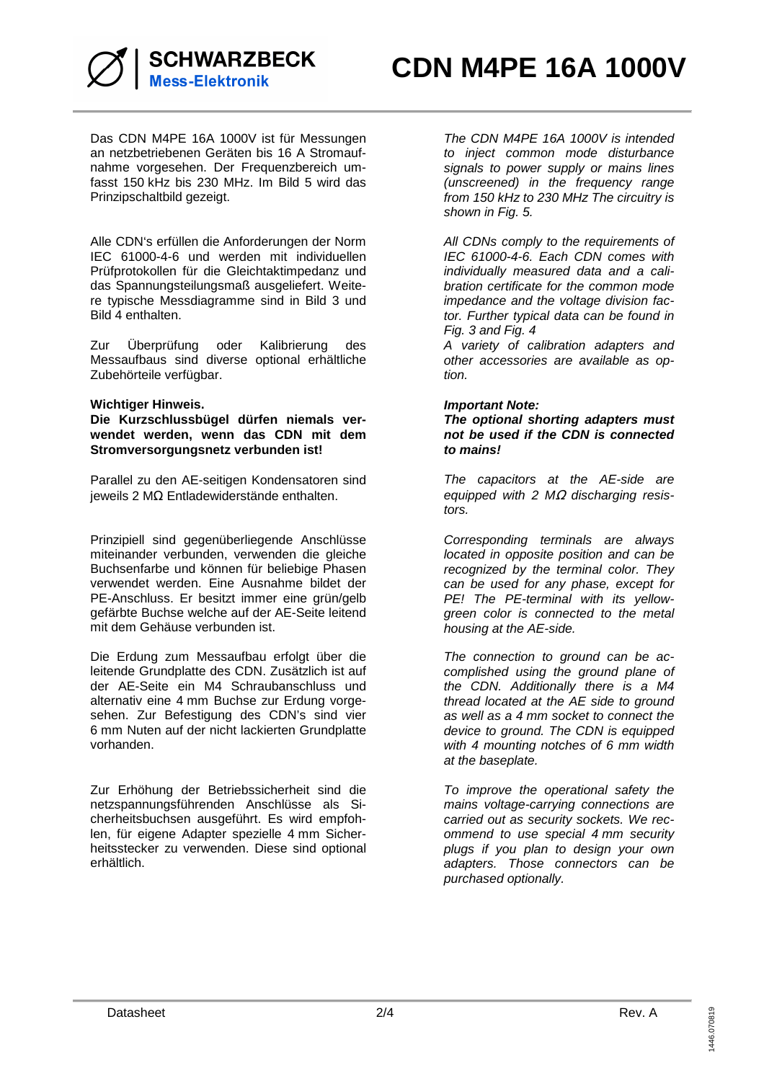

Das CDN M4PE 16A 1000V ist für Messungen an netzbetriebenen Geräten bis 16 A Stromaufnahme vorgesehen. Der Frequenzbereich umfasst 150 kHz bis 230 MHz. Im Bild 5 wird das Prinzipschaltbild gezeigt.

Alle CDN's erfüllen die Anforderungen der Norm IEC 61000-4-6 und werden mit individuellen Prüfprotokollen für die Gleichtaktimpedanz und das Spannungsteilungsmaß ausgeliefert. Weitere typische Messdiagramme sind in Bild 3 und Bild 4 enthalten.

Zur Überprüfung oder Kalibrierung des Messaufbaus sind diverse optional erhältliche Zubehörteile verfügbar.

#### **Wichtiger Hinweis.**

**Die Kurzschlussbügel dürfen niemals verwendet werden, wenn das CDN mit dem Stromversorgungsnetz verbunden ist!** 

Parallel zu den AE-seitigen Kondensatoren sind jeweils 2 MΩ Entladewiderstände enthalten.

Prinzipiell sind gegenüberliegende Anschlüsse miteinander verbunden, verwenden die gleiche Buchsenfarbe und können für beliebige Phasen verwendet werden. Eine Ausnahme bildet der PE-Anschluss. Er besitzt immer eine grün/gelb gefärbte Buchse welche auf der AE-Seite leitend mit dem Gehäuse verbunden ist.

Die Erdung zum Messaufbau erfolgt über die leitende Grundplatte des CDN. Zusätzlich ist auf der AE-Seite ein M4 Schraubanschluss und alternativ eine 4 mm Buchse zur Erdung vorgesehen. Zur Befestigung des CDN's sind vier 6 mm Nuten auf der nicht lackierten Grundplatte vorhanden.

Zur Erhöhung der Betriebssicherheit sind die netzspannungsführenden Anschlüsse als Sicherheitsbuchsen ausgeführt. Es wird empfohlen, für eigene Adapter spezielle 4 mm Sicherheitsstecker zu verwenden. Diese sind optional erhältlich.

The CDN M4PE 16A 1000V is intended to inject common mode disturbance signals to power supply or mains lines (unscreened) in the frequency range from 150 kHz to 230 MHz The circuitry is shown in Fig. 5.

All CDNs comply to the requirements of IEC 61000-4-6. Each CDN comes with individually measured data and a calibration certificate for the common mode impedance and the voltage division factor. Further typical data can be found in Fig. 3 and Fig. 4

A variety of calibration adapters and other accessories are available as option.

#### **Important Note:**

**The optional shorting adapters must not be used if the CDN is connected to mains!** 

The capacitors at the AE-side are equipped with 2 MΩ discharging resistors.

Corresponding terminals are always located in opposite position and can be recognized by the terminal color. They can be used for any phase, except for PE! The PE-terminal with its yellowgreen color is connected to the metal housing at the AE-side.

The connection to ground can be accomplished using the ground plane of the CDN. Additionally there is a M4 thread located at the AE side to ground as well as a 4 mm socket to connect the device to ground. The CDN is equipped with 4 mounting notches of 6 mm width at the baseplate.

To improve the operational safety the mains voltage-carrying connections are carried out as security sockets. We recommend to use special 4 mm security plugs if you plan to design your own adapters. Those connectors can be purchased optionally.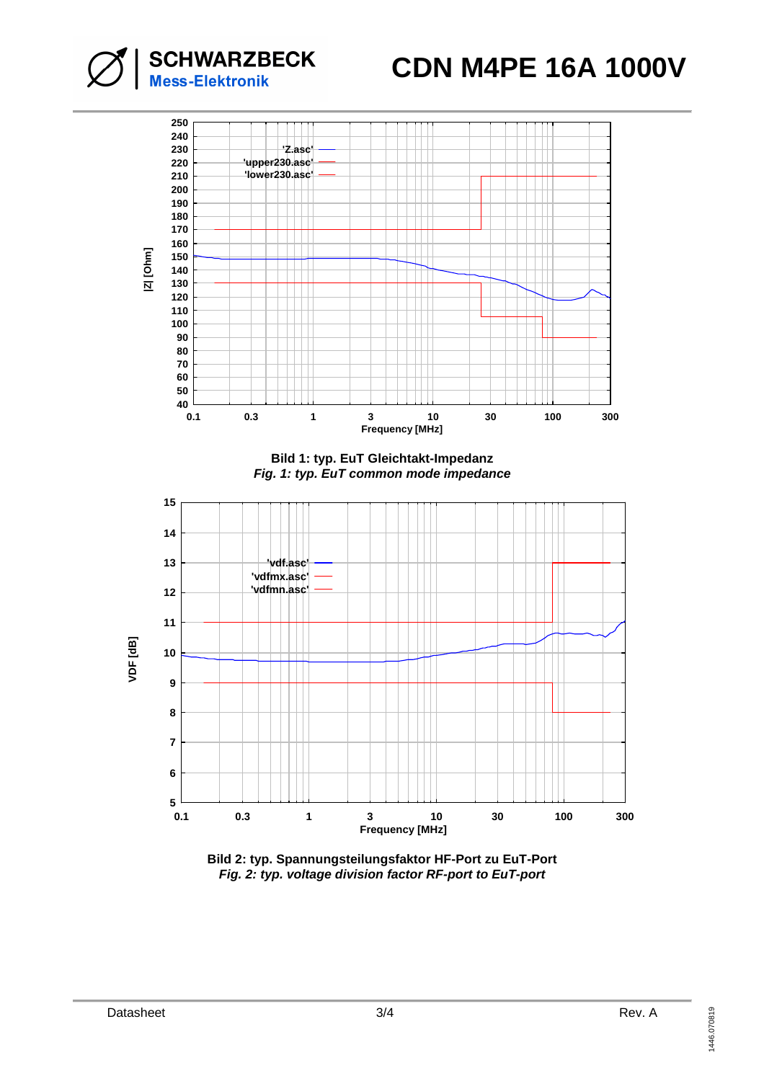# **CDN M4PE 16A 1000V**



**SCHWARZBECK**<br>Mess-Elektronik

**Bild 2: typ. Spannungsteilungsfaktor HF-Port zu EuT-Port Fig. 2: typ. voltage division factor RF-port to EuT-port**